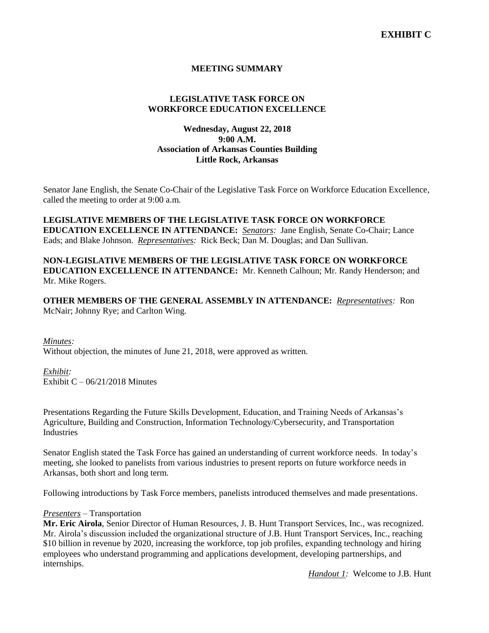# **MEETING SUMMARY**

# **LEGISLATIVE TASK FORCE ON WORKFORCE EDUCATION EXCELLENCE**

# **Wednesday, August 22, 2018 9:00 A.M. Association of Arkansas Counties Building Little Rock, Arkansas**

Senator Jane English, the Senate Co-Chair of the Legislative Task Force on Workforce Education Excellence, called the meeting to order at 9:00 a.m.

**LEGISLATIVE MEMBERS OF THE LEGISLATIVE TASK FORCE ON WORKFORCE EDUCATION EXCELLENCE IN ATTENDANCE:** *Senators:* Jane English, Senate Co-Chair; Lance Eads; and Blake Johnson. *Representatives:* Rick Beck; Dan M. Douglas; and Dan Sullivan.

**NON-LEGISLATIVE MEMBERS OF THE LEGISLATIVE TASK FORCE ON WORKFORCE EDUCATION EXCELLENCE IN ATTENDANCE:** Mr. Kenneth Calhoun; Mr. Randy Henderson; and Mr. Mike Rogers.

**OTHER MEMBERS OF THE GENERAL ASSEMBLY IN ATTENDANCE:** *Representatives:* Ron McNair; Johnny Rye; and Carlton Wing.

*Minutes:*

Without objection, the minutes of June 21, 2018, were approved as written.

*Exhibit:*

Exhibit  $C - 06/21/2018$  Minutes

Presentations Regarding the Future Skills Development, Education, and Training Needs of Arkansas's Agriculture, Building and Construction, Information Technology/Cybersecurity, and Transportation Industries

Senator English stated the Task Force has gained an understanding of current workforce needs. In today's meeting, she looked to panelists from various industries to present reports on future workforce needs in Arkansas, both short and long term.

Following introductions by Task Force members, panelists introduced themselves and made presentations.

#### *Presenters –* Transportation

**Mr. Eric Airola**, Senior Director of Human Resources, J. B. Hunt Transport Services, Inc., was recognized. Mr. Airola's discussion included the organizational structure of J.B. Hunt Transport Services, Inc., reaching \$10 billion in revenue by 2020, increasing the workforce, top job profiles, expanding technology and hiring employees who understand programming and applications development, developing partnerships, and internships.

*Handout 1:* Welcome to J.B. Hunt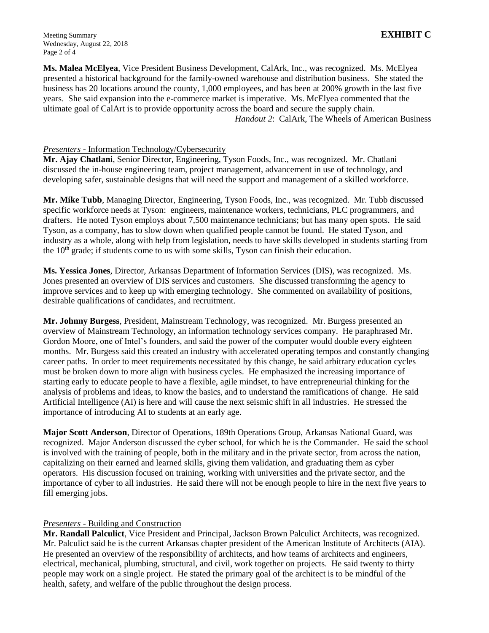**Ms. Malea McElyea**, Vice President Business Development, CalArk, Inc., was recognized. Ms. McElyea presented a historical background for the family-owned warehouse and distribution business. She stated the business has 20 locations around the county, 1,000 employees, and has been at 200% growth in the last five years. She said expansion into the e-commerce market is imperative. Ms. McElyea commented that the ultimate goal of CalArt is to provide opportunity across the board and secure the supply chain. *Handout 2*: CalArk, The Wheels of American Business

### *Presenters -* Information Technology/Cybersecurity

**Mr. Ajay Chatlani**, Senior Director, Engineering, Tyson Foods, Inc., was recognized. Mr. Chatlani discussed the in-house engineering team, project management, advancement in use of technology, and developing safer, sustainable designs that will need the support and management of a skilled workforce.

**Mr. Mike Tubb**, Managing Director, Engineering, Tyson Foods, Inc., was recognized. Mr. Tubb discussed specific workforce needs at Tyson: engineers, maintenance workers, technicians, PLC programmers, and drafters. He noted Tyson employs about 7,500 maintenance technicians; but has many open spots. He said Tyson, as a company, has to slow down when qualified people cannot be found. He stated Tyson, and industry as a whole, along with help from legislation, needs to have skills developed in students starting from the  $10<sup>th</sup>$  grade; if students come to us with some skills, Tyson can finish their education.

**Ms. Yessica Jones**, Director, Arkansas Department of Information Services (DIS), was recognized. Ms. Jones presented an overview of DIS services and customers. She discussed transforming the agency to improve services and to keep up with emerging technology. She commented on availability of positions, desirable qualifications of candidates, and recruitment.

**Mr. Johnny Burgess**, President, Mainstream Technology, was recognized. Mr. Burgess presented an overview of Mainstream Technology, an information technology services company. He paraphrased Mr. Gordon Moore, one of Intel's founders, and said the power of the computer would double every eighteen months. Mr. Burgess said this created an industry with accelerated operating tempos and constantly changing career paths. In order to meet requirements necessitated by this change, he said arbitrary education cycles must be broken down to more align with business cycles. He emphasized the increasing importance of starting early to educate people to have a flexible, agile mindset, to have entrepreneurial thinking for the analysis of problems and ideas, to know the basics, and to understand the ramifications of change. He said Artificial Intelligence (AI) is here and will cause the next seismic shift in all industries. He stressed the importance of introducing AI to students at an early age.

**Major Scott Anderson**, Director of Operations, 189th Operations Group, Arkansas National Guard, was recognized. Major Anderson discussed the cyber school, for which he is the Commander. He said the school is involved with the training of people, both in the military and in the private sector, from across the nation, capitalizing on their earned and learned skills, giving them validation, and graduating them as cyber operators. His discussion focused on training, working with universities and the private sector, and the importance of cyber to all industries. He said there will not be enough people to hire in the next five years to fill emerging jobs.

### *Presenters -* Building and Construction

**Mr. Randall Palculict**, Vice President and Principal, Jackson Brown Palculict Architects, was recognized. Mr. Palculict said he is the current Arkansas chapter president of the American Institute of Architects (AIA). He presented an overview of the responsibility of architects, and how teams of architects and engineers, electrical, mechanical, plumbing, structural, and civil, work together on projects. He said twenty to thirty people may work on a single project. He stated the primary goal of the architect is to be mindful of the health, safety, and welfare of the public throughout the design process.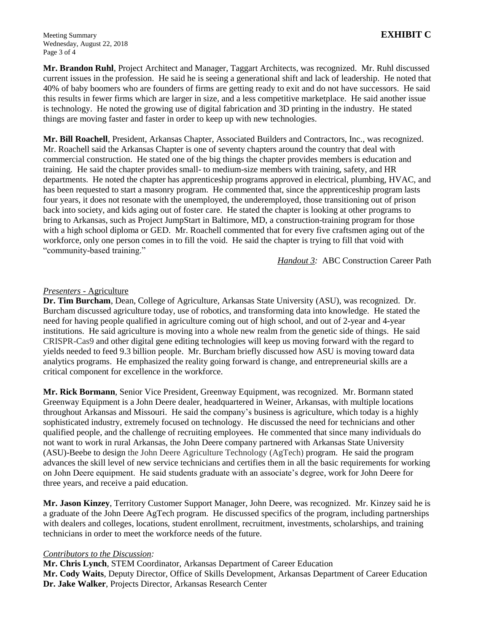Meeting Summary **EXHIBIT C** Wednesday, August 22, 2018 Page 3 of 4

**Mr. Brandon Ruhl**, Project Architect and Manager, Taggart Architects, was recognized. Mr. Ruhl discussed current issues in the profession. He said he is seeing a generational shift and lack of leadership. He noted that 40% of baby boomers who are founders of firms are getting ready to exit and do not have successors. He said this results in fewer firms which are larger in size, and a less competitive marketplace. He said another issue is technology. He noted the growing use of digital fabrication and 3D printing in the industry. He stated things are moving faster and faster in order to keep up with new technologies.

**Mr. Bill Roachell**, President, Arkansas Chapter, Associated Builders and Contractors, Inc., was recognized. Mr. Roachell said the Arkansas Chapter is one of seventy chapters around the country that deal with commercial construction. He stated one of the big things the chapter provides members is education and training. He said the chapter provides small- to medium-size members with training, safety, and HR departments. He noted the chapter has apprenticeship programs approved in electrical, plumbing, HVAC, and has been requested to start a masonry program. He commented that, since the apprenticeship program lasts four years, it does not resonate with the unemployed, the underemployed, those transitioning out of prison back into society, and kids aging out of foster care. He stated the chapter is looking at other programs to bring to Arkansas, such as Project JumpStart in Baltimore, MD, a construction-training program for those with a high school diploma or GED. Mr. Roachell commented that for every five craftsmen aging out of the workforce, only one person comes in to fill the void. He said the chapter is trying to fill that void with "community-based training."

*Handout 3:* ABC Construction Career Path

### *Presenters -* Agriculture

**Dr. Tim Burcham**, Dean, College of Agriculture, Arkansas State University (ASU), was recognized. Dr. Burcham discussed agriculture today, use of robotics, and transforming data into knowledge. He stated the need for having people qualified in agriculture coming out of high school, and out of 2-year and 4-year institutions. He said agriculture is moving into a whole new realm from the genetic side of things. He said CRISPR-Cas9 and other digital gene editing technologies will keep us moving forward with the regard to yields needed to feed 9.3 billion people. Mr. Burcham briefly discussed how ASU is moving toward data analytics programs. He emphasized the reality going forward is change, and entrepreneurial skills are a critical component for excellence in the workforce.

**Mr. Rick Bormann**, Senior Vice President, Greenway Equipment, was recognized. Mr. Bormann stated Greenway Equipment is a John Deere dealer, headquartered in Weiner, Arkansas, with multiple locations throughout Arkansas and Missouri. He said the company's business is agriculture, which today is a highly sophisticated industry, extremely focused on technology. He discussed the need for technicians and other qualified people, and the challenge of recruiting employees. He commented that since many individuals do not want to work in rural Arkansas, the John Deere company partnered with Arkansas State University (ASU)-Beebe to design the John Deere Agriculture Technology (AgTech) program. He said the program advances the skill level of new service technicians and certifies them in all the basic requirements for working on John Deere equipment. He said students graduate with an associate's degree, work for John Deere for three years, and receive a paid education.

**Mr. Jason Kinzey**, Territory Customer Support Manager, John Deere, was recognized. Mr. Kinzey said he is a graduate of the John Deere AgTech program. He discussed specifics of the program, including partnerships with dealers and colleges, locations, student enrollment, recruitment, investments, scholarships, and training technicians in order to meet the workforce needs of the future.

### *Contributors to the Discussion:*

**Mr. Chris Lynch**, STEM Coordinator, Arkansas Department of Career Education **Mr. Cody Waits**, Deputy Director, Office of Skills Development, Arkansas Department of Career Education **Dr. Jake Walker**, Projects Director, Arkansas Research Center